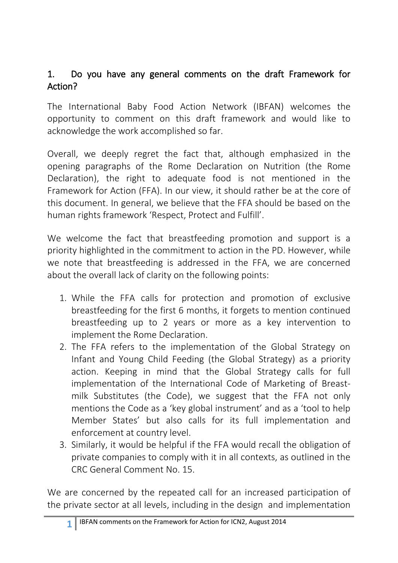## 1. Do you have any general comments on the draft Framework for Action?

The International Baby Food Action Network (IBFAN) welcomes the opportunity to comment on this draft framework and would like to acknowledge the work accomplished so far.

Overall, we deeply regret the fact that, although emphasized in the opening paragraphs of the Rome Declaration on Nutrition (the Rome Declaration), the right to adequate food is not mentioned in the Framework for Action (FFA). In our view, it should rather be at the core of this document. In general, we believe that the FFA should be based on the human rights framework 'Respect, Protect and Fulfill'.

We welcome the fact that breastfeeding promotion and support is a priority highlighted in the commitment to action in the PD. However, while we note that breastfeeding is addressed in the FFA, we are concerned about the overall lack of clarity on the following points:

- 1. While the FFA calls for protection and promotion of exclusive breastfeeding for the first 6 months, it forgets to mention continued breastfeeding up to 2 years or more as a key intervention to implement the Rome Declaration.
- 2. The FFA refers to the implementation of the Global Strategy on Infant and Young Child Feeding (the Global Strategy) as a priority action. Keeping in mind that the Global Strategy calls for full implementation of the International Code of Marketing of Breastmilk Substitutes (the Code), we suggest that the FFA not only mentions the Code as a 'key global instrument' and as a 'tool to help Member States' but also calls for its full implementation and enforcement at country level.
- 3. Similarly, it would be helpful if the FFA would recall the obligation of private companies to comply with it in all contexts, as outlined in the CRC General Comment No. 15.

We are concerned by the repeated call for an increased participation of the private sector at all levels, including in the design and implementation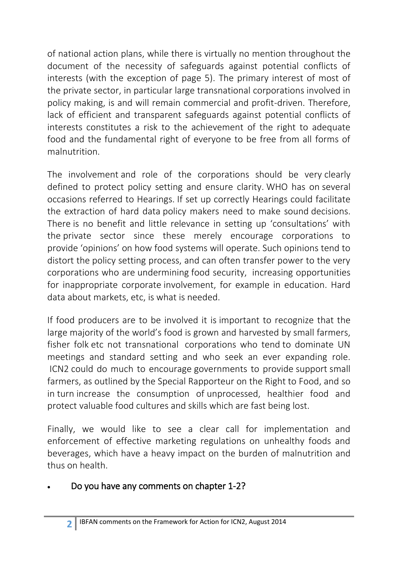of national action plans, while there is virtually no mention throughout the document of the necessity of safeguards against potential conflicts of interests (with the exception of page 5). The primary interest of most of the private sector, in particular large transnational corporations involved in policy making, is and will remain commercial and profit-driven. Therefore, lack of efficient and transparent safeguards against potential conflicts of interests constitutes a risk to the achievement of the right to adequate food and the fundamental right of everyone to be free from all forms of malnutrition.

The involvement and role of the corporations should be very clearly defined to protect policy setting and ensure clarity. WHO has on several occasions referred to Hearings. If set up correctly Hearings could facilitate the extraction of hard data policy makers need to make sound decisions. There is no benefit and little relevance in setting up 'consultations' with the private sector since these merely encourage corporations to provide 'opinions' on how food systems will operate. Such opinions tend to distort the policy setting process, and can often transfer power to the very corporations who are undermining food security, increasing opportunities for inappropriate corporate involvement, for example in education. Hard data about markets, etc, is what is needed.

If food producers are to be involved it is important to recognize that the large majority of the world's food is grown and harvested by small farmers, fisher folk etc not transnational corporations who tend to dominate UN meetings and standard setting and who seek an ever expanding role. ICN2 could do much to encourage governments to provide support small farmers, as outlined by the Special Rapporteur on the Right to Food, and so in turn increase the consumption of unprocessed, healthier food and protect valuable food cultures and skills which are fast being lost.

Finally, we would like to see a clear call for implementation and enforcement of effective marketing regulations on unhealthy foods and beverages, which have a heavy impact on the burden of malnutrition and thus on health.

## Do you have any comments on chapter 1-2?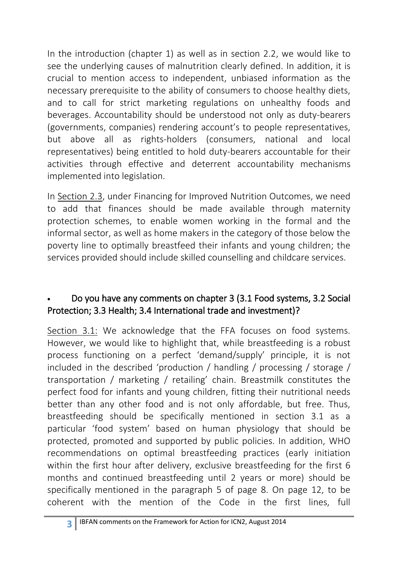In the introduction (chapter 1) as well as in section 2.2, we would like to see the underlying causes of malnutrition clearly defined. In addition, it is crucial to mention access to independent, unbiased information as the necessary prerequisite to the ability of consumers to choose healthy diets, and to call for strict marketing regulations on unhealthy foods and beverages. Accountability should be understood not only as duty-bearers (governments, companies) rendering account's to people representatives, but above all as rights-holders (consumers, national and local representatives) being entitled to hold duty-bearers accountable for their activities through effective and deterrent accountability mechanisms implemented into legislation.

In Section 2.3, under Financing for Improved Nutrition Outcomes, we need to add that finances should be made available through maternity protection schemes, to enable women working in the formal and the informal sector, as well as home makers in the category of those below the poverty line to optimally breastfeed their infants and young children; the services provided should include skilled counselling and childcare services.

## Do you have any comments on chapter 3 (3.1 Food systems, 3.2 Social Protection; 3.3 Health; 3.4 International trade and investment)?

Section 3.1: We acknowledge that the FFA focuses on food systems. However, we would like to highlight that, while breastfeeding is a robust process functioning on a perfect 'demand/supply' principle, it is not included in the described 'production / handling / processing / storage / transportation / marketing / retailing' chain. Breastmilk constitutes the perfect food for infants and young children, fitting their nutritional needs better than any other food and is not only affordable, but free. Thus, breastfeeding should be specifically mentioned in section 3.1 as a particular 'food system' based on human physiology that should be protected, promoted and supported by public policies. In addition, WHO recommendations on optimal breastfeeding practices (early initiation within the first hour after delivery, exclusive breastfeeding for the first 6 months and continued breastfeeding until 2 years or more) should be specifically mentioned in the paragraph 5 of page 8. On page 12, to be coherent with the mention of the Code in the first lines, full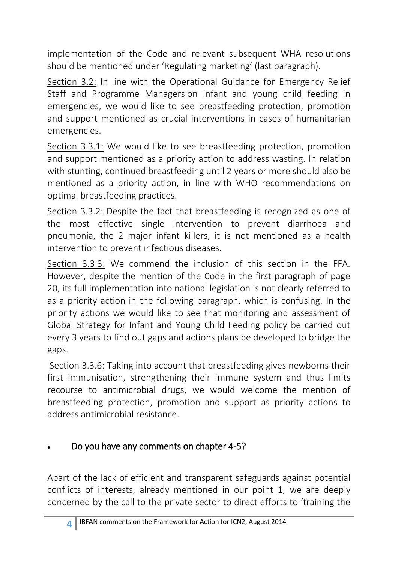implementation of the Code and relevant subsequent WHA resolutions should be mentioned under 'Regulating marketing' (last paragraph).

Section 3.2: In line with the Operational Guidance for Emergency Relief Staff and Programme Managers on infant and young child feeding in emergencies, we would like to see breastfeeding protection, promotion and support mentioned as crucial interventions in cases of humanitarian emergencies.

Section 3.3.1: We would like to see breastfeeding protection, promotion and support mentioned as a priority action to address wasting. In relation with stunting, continued breastfeeding until 2 years or more should also be mentioned as a priority action, in line with WHO recommendations on optimal breastfeeding practices.

Section 3.3.2: Despite the fact that breastfeeding is recognized as one of the most effective single intervention to prevent diarrhoea and pneumonia, the 2 major infant killers, it is not mentioned as a health intervention to prevent infectious diseases.

Section 3.3.3: We commend the inclusion of this section in the FFA. However, despite the mention of the Code in the first paragraph of page 20, its full implementation into national legislation is not clearly referred to as a priority action in the following paragraph, which is confusing. In the priority actions we would like to see that monitoring and assessment of Global Strategy for Infant and Young Child Feeding policy be carried out every 3 years to find out gaps and actions plans be developed to bridge the gaps.

Section 3.3.6: Taking into account that breastfeeding gives newborns their first immunisation, strengthening their immune system and thus limits recourse to antimicrobial drugs, we would welcome the mention of breastfeeding protection, promotion and support as priority actions to address antimicrobial resistance.

# Do you have any comments on chapter 4-5?

Apart of the lack of efficient and transparent safeguards against potential conflicts of interests, already mentioned in our point 1, we are deeply concerned by the call to the private sector to direct efforts to 'training the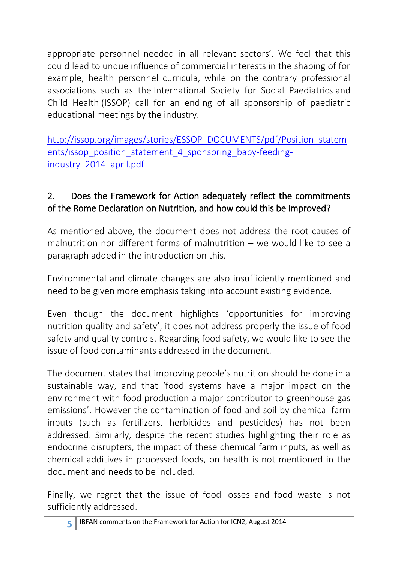appropriate personnel needed in all relevant sectors'. We feel that this could lead to undue influence of commercial interests in the shaping of for example, health personnel curricula, while on the contrary professional associations such as the [International Society for Social Paediatrics](http://issop.org/images/stories/ESSOP_DOCUMENTS/pdf/Position_statements/issop_position_statement_4_sponsoring_baby-feeding-industry_2014_april.pdf) and [Child Health](http://issop.org/images/stories/ESSOP_DOCUMENTS/pdf/Position_statements/issop_position_statement_4_sponsoring_baby-feeding-industry_2014_april.pdf) (ISSOP) call for an ending of all sponsorship of paediatric educational meetings by the industry.

[http://issop.org/images/stories/ESSOP\\_DOCUMENTS/pdf/Position\\_statem](http://issop.org/images/stories/ESSOP_DOCUMENTS/pdf/Position_statements/issop_position_statement_4_sponsoring_baby-feeding-industry_2014_april.pdf) [ents/issop\\_position\\_statement\\_4\\_sponsoring\\_baby-feeding](http://issop.org/images/stories/ESSOP_DOCUMENTS/pdf/Position_statements/issop_position_statement_4_sponsoring_baby-feeding-industry_2014_april.pdf)[industry\\_2014\\_april.pdf](http://issop.org/images/stories/ESSOP_DOCUMENTS/pdf/Position_statements/issop_position_statement_4_sponsoring_baby-feeding-industry_2014_april.pdf)

## 2. Does the Framework for Action adequately reflect the commitments of the Rome Declaration on Nutrition, and how could this be improved?

As mentioned above, the document does not address the root causes of malnutrition nor different forms of malnutrition – we would like to see a paragraph added in the introduction on this.

Environmental and climate changes are also insufficiently mentioned and need to be given more emphasis taking into account existing evidence.

Even though the document highlights 'opportunities for improving nutrition quality and safety', it does not address properly the issue of food safety and quality controls. Regarding food safety, we would like to see the issue of food contaminants addressed in the document.

The document states that improving people's nutrition should be done in a sustainable way, and that 'food systems have a major impact on the environment with food production a major contributor to greenhouse gas emissions'. However the contamination of food and soil by chemical farm inputs (such as fertilizers, herbicides and pesticides) has not been addressed. Similarly, despite the recent studies highlighting their role as endocrine disrupters, the impact of these chemical farm inputs, as well as chemical additives in processed foods, on health is not mentioned in the document and needs to be included.

Finally, we regret that the issue of food losses and food waste is not sufficiently addressed.